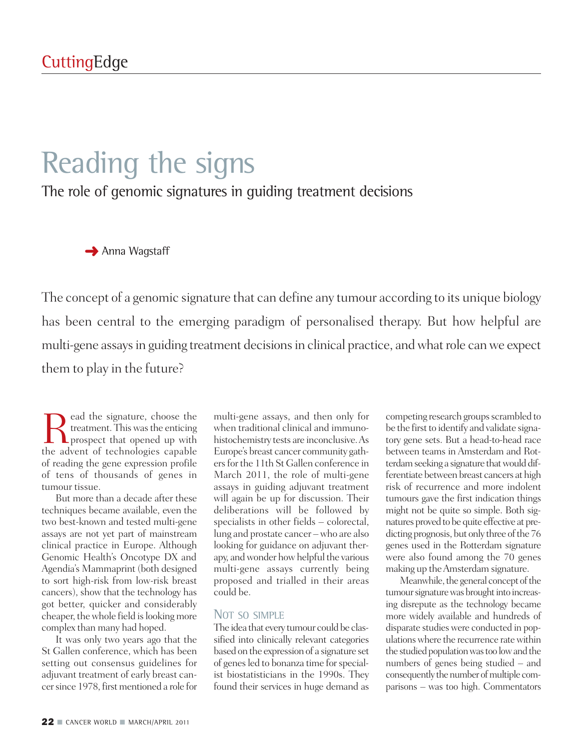# Reading the signs

The role of genomic signatures in guiding treatment decisions

**→** Anna Wagstaff

The concept of a genomic signature that can define any tumour according to its unique biology has been central to the emerging paradigm of personalised therapy. But how helpful are multi-gene assays in guiding treatment decisions in clinical practice, and what role can we expect them to play in the future?

Read the signature, choose the<br>treatment. This was the enticing<br>the advent of technologies canable treatment. This was the enticing **L L** prospect that opened up with the advent of technologies capable of reading the gene expression profile of tens of thousands of genes in tumour tissue.

But more than a decade after these techniques became available, even the two best-known and tested multi-gene assays are not yet part of mainstream clinical practice in Europe. Although Genomic Health's Oncotype DX and Agendia's Mammaprint (both designed to sort high-risk from low-risk breast cancers), show that the technology has got better, quicker and considerably cheaper, thewhole field islooking more complex than many had hoped.

It was only two years ago that the St Gallen conference, which has been setting out consensus guidelines for adjuvant treatment of early breast cancer since 1978, first mentioned a role for

multi-gene assays, and then only for when traditional clinical and immunohistochemistry tests are inconclusive.As Europe's breast cancer community gathersforthe 11th St Gallen conference in March 2011, the role of multi-gene assays in guiding adjuvant treatment will again be up for discussion. Their deliberations will be followed by specialists in other fields – colorectal, lung and prostate cancer –who are also looking for guidance on adjuvant therapy, and wonder how helpful the various multi-gene assays currently being proposed and trialled in their areas could be.

#### NOT SO SIMPLE

The idea that every tumour could be classified into clinically relevant categories based on the expression of a signature set of genes led to bonanza time for specialist biostatisticians in the 1990s. They found their services in huge demand as

competing research groups scrambled to be the first to identify and validate signatory gene sets. But a head-to-head race between teams in Amsterdam and Rotterdam seeking a signature that would differentiate between breast cancers at high risk of recurrence and more indolent tumours gave the first indication things might not be quite so simple. Both signatures proved to be quite effective at predicting prognosis, but only three of the 76 genes used in the Rotterdam signature were also found among the 70 genes making up theAmsterdam signature.

Meanwhile, the general concept of the tumour signature was brought into increasing disrepute as the technology became more widely available and hundreds of disparate studies were conducted in populationswhere the recurrence ratewithin the studied population was too low and the numbers of genes being studied – and consequently the number of multiple comparisons – was too high. Commentators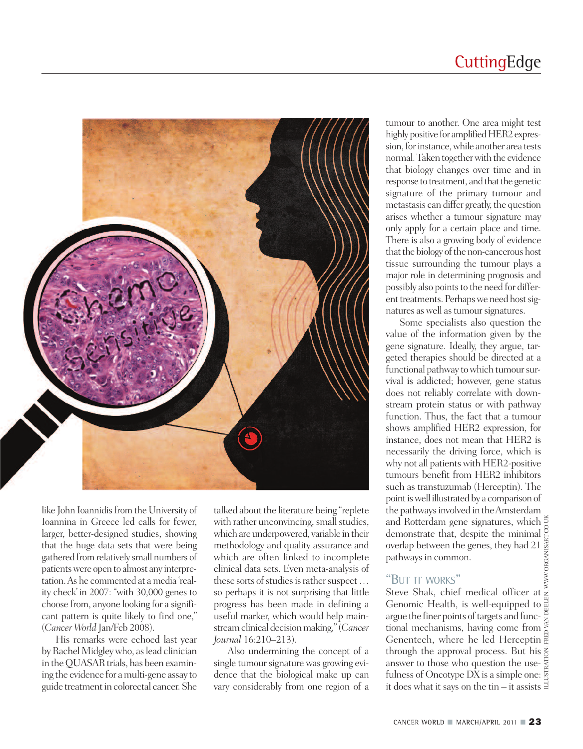## **CuttingEdge**



like John Ioannidis from the University of Ioannina in Greece led calls for fewer, larger, better-designed studies, showing that the huge data sets that were being gathered fromrelatively small numbers of patientswere open to almost any interpretation.As he commented at a media 'reality check' in 2007: "with 30,000 genes to choose from, anyone looking for a significant pattern is quite likely to find one," (*Cancer World* Jan/Feb 2008).

His remarks were echoed last year by Rachel Midgley who, as lead clinician in the QUASAR trials, has been examining the evidence for amulti-gene assay to guide treatmentin colorectal cancer.She

talked about the literature being "replete" with rather unconvincing, small studies, which are underpowered, variable in their methodology and quality assurance and which are often linked to incomplete clinical data sets. Even meta-analysis of these sorts of studies is rather suspect ... so perhaps it is not surprising that little progress has been made in defining a useful marker, which would help mainstream clinical decision making," (*Cancer Journal* 16:210–213).

Also undermining the concept of a single tumour signature was growing evidence that the biological make up can vary considerably from one region of a

tumour to another. One area might test highly positive for amplified HER2 expression, for instance, while another area tests normal. Taken together with the evidence that biology changes over time and in response to treatment, and that the genetic signature of the primary tumour and metastasis can differ greatly, the question arises whether a tumour signature may only apply for a certain place and time. There is also a growing body of evidence that the biology of the non-cancerous host tissue surrounding the tumour plays a major role in determining prognosis and possibly also points to the need for different treatments. Perhaps we need host signatures as well as tumour signatures.

Some specialists also question the value of the information given by the gene signature. Ideally, they argue, targeted therapies should be directed at a functional pathway to which tumour survival is addicted; however, gene status does not reliably correlate with downstream protein status or with pathway function. Thus, the fact that a tumour shows amplified HER2 expression, for instance, does not mean that HER2 is necessarily the driving force, which is why not all patients with HER2-positive tumours benefit from HER2 inhibitors such as transtuzumab (Herceptin). The point is well illustrated by a comparison of the pathways involved in the Amsterdam and Rotterdam gene signatures, which  $\frac{3}{6}$ demonstrate that, despite the minimal overlap between the genes, they had 21 pathways in common.

#### "BUT IT WORKS"

ILLUSTRATION: FRED VAN DEELEN, WWW.ORGANISART.CO.UK Steve Shak, chief medical officer at Genomic Health, is well-equipped to argue the finer points of targets and functional mechanisms, having come from Genentech, where he led Herceptin through the approval process. But his answer to those who question the use- $\frac{1}{2}$ fulness of Oncotype DX is a simple one:  $\frac{5}{2}$ it does what it says on the tin – it assists  $\exists$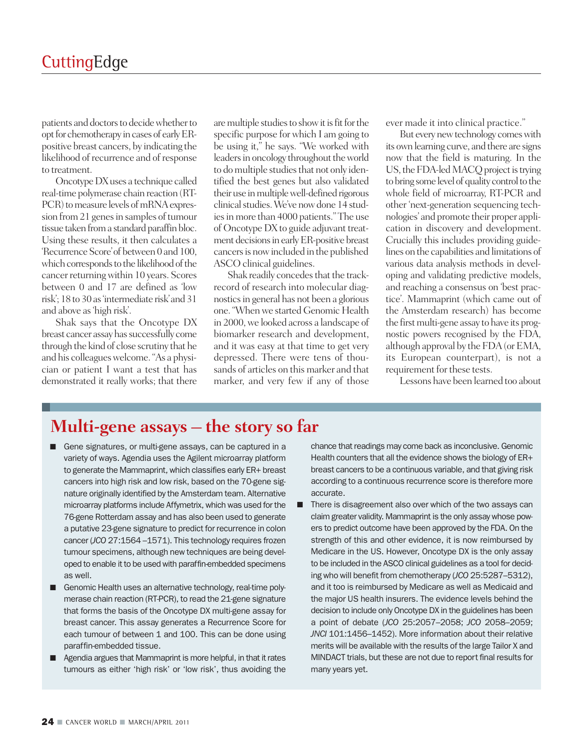patients and doctors to decide whether to opt for chemotherapy in cases of early ERpositive breast cancers, by indicating the likelihood of recurrence and of response to treatment.

Oncotype DX uses a technique called real-time polymerase chain reaction (RT-PCR) to measure levels of mRNA expression from 21 genes in samples of tumour tissue taken from a standard paraffin bloc. Using these results, it then calculates a 'Recurrence Score' of between 0 and 100, which corresponds to the likelihood of the cancer returning within 10 years. Scores between 0 and 17 are defined as 'low risk'; 18 to 30 as'intermediate risk'and 31 and above as'high risk'.

Shak says that the Oncotype DX breast cancer assay has successfully come through the kind of close scrutiny that he and his colleagueswelcome."As a physician or patient I want a test that has demonstrated it really works; that there

are multiple studies to show it is fit for the specific purpose for which I am going to be using it," he says. "We worked with leaders in oncology throughout the world to do multiple studies that not only identified the best genes but also validated their use in multiple well-defined rigorous clinical studies. We've now done 14 studies in more than 4000 patients." The use of Oncotype DX to guide adjuvant treatment decisions in early ER-positive breast cancersis nowincluded in the published ASCO clinical guidelines.

Shak readily concedes that the trackrecord of research into molecular diagnosticsin general has not been a glorious one. "When we started Genomic Health in 2000,we looked across a landscape of biomarker research and development, and it was easy at that time to get very depressed. There were tens of thousands of articles on this marker and that marker, and very few if any of those

ever made it into clinical practice."

But every new technology comes with its own learning curve, and there are signs now that the field is maturing. In the US, the FDA-led MACQ project is trying to bring some level of quality control to the whole field of microarray, RT-PCR and other 'next-generation sequencing technologies' and promote their proper application in discovery and development. Crucially this includes providing guidelines onthe capabilities and limitations of various data analysis methods in developing and validating predictive models, and reaching a consensus on 'best practice'. Mammaprint (which came out of the Amsterdam research) has become the first multi-gene assay to have its prognostic powers recognised by the FDA, although approval by the FDA (or EMA, its European counterpart), is not a requirement for these tests.

Lessons have been learned too about

### **Multi-gene assays – the story so far**

- **■** Gene signatures, or multi-gene assays, can be captured in a variety of ways. Agendia uses the Agilent microarray platform to generate the Mammaprint, which classifies early ER+ breast cancers into high risk and low risk, based on the 70-gene signature originally identified by the Amsterdam team. Alternative microarray platforms include Affymetrix, which was used for the 76-gene Rotterdam assay and has also been used to generate a putative 23-gene signature to predict for recurrence in colon cancer (*JCO* 27:1564 –1571). This technology requires frozen tumour specimens, although new techniques are being developed to enable it to be used with paraffin-embedded specimens as well.
- Genomic Health uses an alternative technology, real-time polymerase chain reaction (RT-PCR), to read the 21-gene signature that forms the basis of the Oncotype DX multi-gene assay for breast cancer. This assay generates a Recurrence Score for each tumour of between 1 and 100. This can be done using paraffin-embedded tissue.
- **■** Agendia argues that Mammaprint is more helpful, in that it rates tumours as either 'high risk' or 'low risk', thus avoiding the

chance that readings may come back as inconclusive. Genomic Health counters that all the evidence shows the biology of ER+ breast cancers to be a continuous variable, and that giving risk according to a continuous recurrence score is therefore more accurate.

■ There is disagreement also over which of the two assays can claim greater validity. Mammaprint is the only assay whose powers to predict outcome have been approved by the FDA. On the strength of this and other evidence, it is now reimbursed by Medicare in the US. However, Oncotype DX is the only assay to be included in the ASCO clinical guidelines as a tool for deciding who will benefit from chemotherapy (*JCO* 25:5287–5312), and it too is reimbursed by Medicare as well as Medicaid and the major US health insurers. The evidence levels behind the decision to include only Oncotype DX in the guidelines has been a point of debate (*JCO* 25:2057–2058; *JCO* 2058–2059; *JNCI* 101:1456–1452). More information about their relative merits will be available with the results of the large Tailor X and MINDACT trials, but these are not due to report final results for many years yet.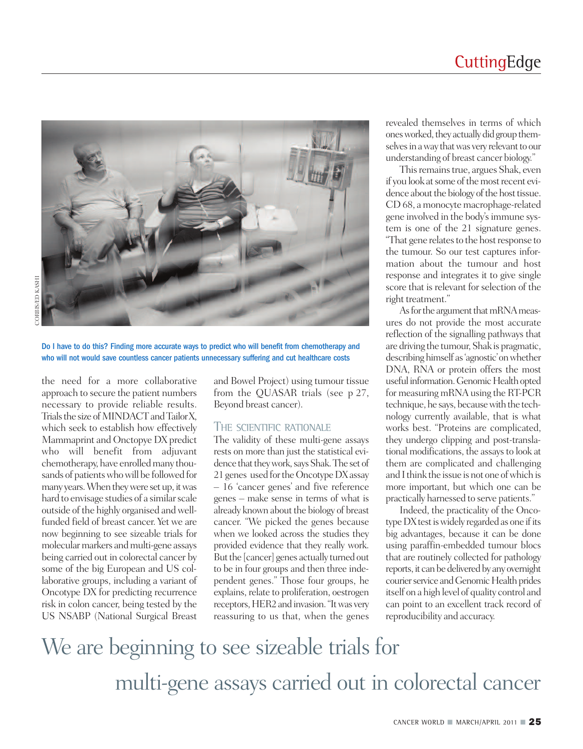

Do I have to do this? Finding more accurate ways to predict who will benefit from chemotherapy and who will not would save countless cancer patients unnecessary suffering and cut healthcare costs

the need for a more collaborative approach to secure the patient numbers necessary to provide reliable results. Trials the size of MINDACT and Tailor X, which seek to establish how effectively Mammaprint and Onctopye DX predict who will benefit from adjuvant chemotherapy, have enrolled many thousands of patients who will be followed for many years. When they were set up, it was hard to envisage studies of a similar scale outside of the highly organised andwellfunded field of breast cancer. Yet we are now beginning to see sizeable trials for molecular markers and multi-gene assays being carried out in colorectal cancer by some of the big European and US collaborative groups, including a variant of Oncotype DX for predicting recurrence risk in colon cancer, being tested by the US NSABP (National Surgical Breast

and Bowel Project) using tumour tissue from the QUASAR trials (see p 27, Beyond breast cancer).

#### THE SCIENTIFIC RATIONALE

The validity of these multi-gene assays rests on more than just the statistical evidence that they work, says Shak. The set of 21 genes used for the Oncotype DX assay – 16 'cancer genes' and five reference genes – make sense in terms of what is already known about the biology of breast cancer. "We picked the genes because when we looked across the studies they provided evidence that they really work. But the [cancer] genes actually turned out to be in four groups and then three independent genes." Those four groups, he explains, relate to proliferation, oestrogen receptors, HER2 and invasion. "It was very reassuring to us that, when the genes

revealed themselves in terms of which ones worked, they actually did group themselves in a way that was very relevant to our understanding of breast cancer biology."

This remains true, argues Shak, even if you look at some of the most recent evidence about the biology of the host tissue. CD 68, a monocyte macrophage-related gene involved in the body'simmune system is one of the 21 signature genes. "That gene relates to the host response to the tumour. So our test captures information about the tumour and host response and integrates it to give single score that is relevant for selection of the right treatment."

As for the argument that mRNA measures do not provide the most accurate reflection of the signalling pathways that are driving the tumour, Shak is pragmatic, describing himself as 'agnostic' on whether DNA, RNA or protein offers the most useful information. Genomic Health opted for measuring mRNA using the RT-PCR technique, he says, because with the technology currently available, that is what works best. "Proteins are complicated, they undergo clipping and post-translational modifications, the assays to look at them are complicated and challenging and I think the issue is not one of which is more important, but which one can be practically harnessed to serve patients."

Indeed, the practicality of the Oncotype DX test is widely regarded as one if its big advantages, because it can be done using paraffin-embedded tumour blocs that are routinely collected for pathology reports, it can be delivered by any overnight courier service and Genomic Health prides itself on a high level of quality control and can point to an excellent track record of reproducibility and accuracy.

We are beginning to see sizeable trials for multi-gene assays carried out in colorectal cancer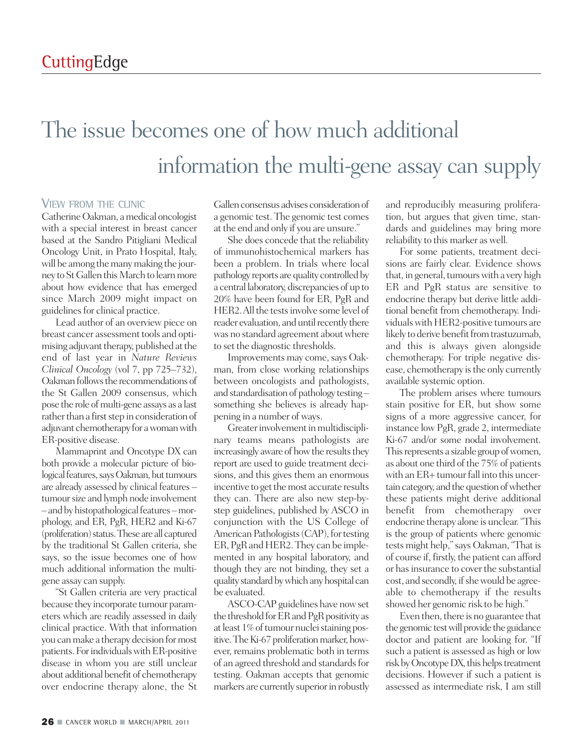# The issue becomes one of how much additional information the multi-gene assay can supply

#### VIEW FROM THE CLINIC

CatherineOakman, amedical oncologist with a special interest in breast cancer based at the Sandro Pitigliani Medical Oncology Unit, in Prato Hospital, Italy, will be among the many making the journey to St Gallen this March to learn more about how evidence that has emerged since March 2009 might impact on guidelines for clinical practice.

Lead author of an overview piece on breast cancer assessment tools and optimising adjuvant therapy, published at the end of last year in *Nature Reviews Clinical Oncology* (vol 7, pp 725–732), Oakman follows the recommendations of the St Gallen 2009 consensus, which pose the role of multi-gene assays as a last rather than a first step in consideration of adjuvant chemotherapy for a woman with ER-positive disease.

Mammaprint and Oncotype DX can both provide a molecular picture of biological features, says Oakman, but tumours are already assessed by clinical features – tumour size and lymph node involvement – and by histopathological features – morphology, and ER, PgR, HER2 and Ki-67 (proliferation) status. These are all captured by the traditional St Gallen criteria, she says, so the issue becomes one of how much additional information the multigene assay can supply.

"St Gallen criteria are very practical because they incorporate tumour parameters which are readily assessed in daily clinical practice. With that information you canmake a therapy decision formost patients. For individuals with ER-positive disease in whom you are still unclear about additional benefit of chemotherapy over endocrine therapy alone, the St

Gallen consensus advises consideration of a genomic test. The genomic test comes at the end and only if you are unsure."

She does concede that the reliability of immunohistochemical markers has been a problem. In trials where local pathology reports are quality controlled by a central laboratory, discrepancies of up to 20% have been found for ER, PgR and HER2. All the tests involve some level of reader evaluation, and until recently there was no standard agreement about where to set the diagnostic thresholds.

Improvements may come, says Oakman, from close working relationships between oncologists and pathologists, and standardisation of pathology testing  $$ something she believes is already happening in a number of ways.

Greater involvement in multidisciplinary teams means pathologists are increasingly aware of how the results they report are used to guide treatment decisions, and this gives them an enormous incentive to get the most accurate results they can. There are also new step-bystep guidelines, published by ASCO in conjunction with the US College of American Pathologists (CAP), for testing ER, PgR and HER2. They can be implemented in any hospital laboratory, and though they are not binding, they set a quality standard by which any hospital can be evaluated.

ASCO-CAPguidelines have nowset the threshold for ER and PgR positivity as at least 1% of tumour nuclei staining positive. The Ki-67 proliferation marker, however, remains problematic both in terms of an agreed threshold and standards for testing. Oakman accepts that genomic markers are currently superior in robustly

and reproducibly measuring proliferation, but argues that given time, standards and guidelines may bring more reliability to this marker aswell.

For some patients, treatment decisions are fairly clear. Evidence shows that, in general, tumours with a very high ER and PgR status are sensitive to endocrine therapy but derive little additional benefit from chemotherapy. Individuals with HER2-positive tumours are likely to derive benefit from trastuzumab, and this is always given alongside chemotherapy. For triple negative disease, chemotherapy is the only currently available systemic option.

The problem arises where tumours stain positive for ER, but show some signs of a more aggressive cancer, for instance low PgR, grade 2, intermediate Ki-67 and/or some nodal involvement. This represents a sizable group of women, as about one third of the 75% of patients with an ER+ tumour fall into this uncertain category, and the question of whether these patients might derive additional benefit from chemotherapy over endocrine therapy alone is unclear."This is the group of patients where genomic tests might help,"says Oakman,"That is of course if, firstly, the patient can afford or hasinsurance to cover the substantial cost, and secondly, if she would be agreeable to chemotherapy if the results showed her genomic risk to be high."

Even then, there is no guarantee that the genomic test will provide the guidance doctor and patient are looking for. "If such a patient is assessed as high or low risk by Oncotype DX, this helps treatment decisions. However if such a patient is assessed as intermediate risk, I am still